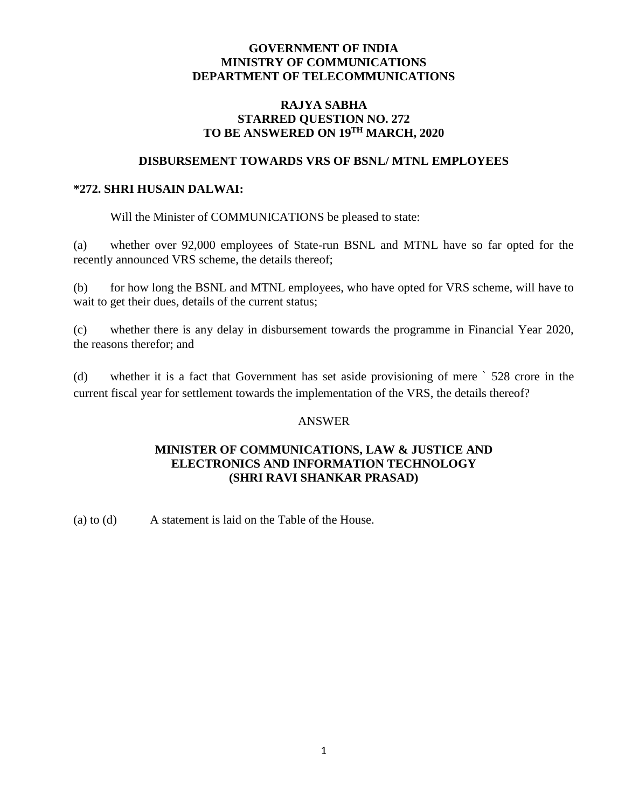### **GOVERNMENT OF INDIA MINISTRY OF COMMUNICATIONS DEPARTMENT OF TELECOMMUNICATIONS**

# **RAJYA SABHA STARRED QUESTION NO. 272**  $TO$  BE ANSWERED ON  $19^{\text{TH}}$  MARCH,  $2020$

### **DISBURSEMENT TOWARDS VRS OF BSNL/ MTNL EMPLOYEES**

#### **\*272. SHRI HUSAIN DALWAI:**

Will the Minister of COMMUNICATIONS be pleased to state:

(a) whether over 92,000 employees of State-run BSNL and MTNL have so far opted for the recently announced VRS scheme, the details thereof;

(b) for how long the BSNL and MTNL employees, who have opted for VRS scheme, will have to wait to get their dues, details of the current status;

(c) whether there is any delay in disbursement towards the programme in Financial Year 2020, the reasons therefor; and

(d) whether it is a fact that Government has set aside provisioning of mere ` 528 crore in the current fiscal year for settlement towards the implementation of the VRS, the details thereof?

#### ANSWER

## **MINISTER OF COMMUNICATIONS, LAW & JUSTICE AND ELECTRONICS AND INFORMATION TECHNOLOGY (SHRI RAVI SHANKAR PRASAD)**

(a) to (d) A statement is laid on the Table of the House.